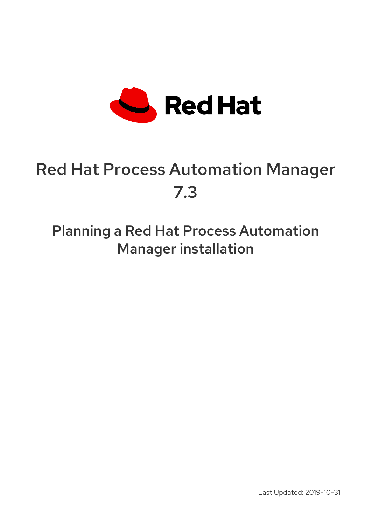

# Red Hat Process Automation Manager 7.3

Planning a Red Hat Process Automation Manager installation

Last Updated: 2019-10-31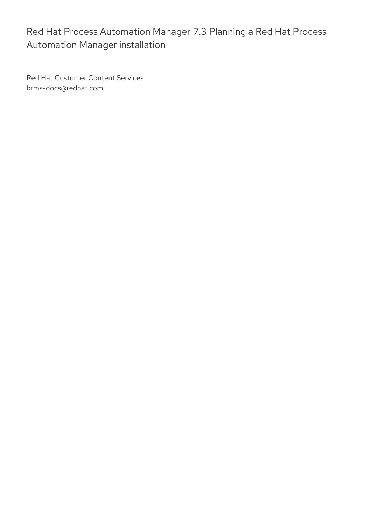Red Hat Customer Content Services brms-docs@redhat.com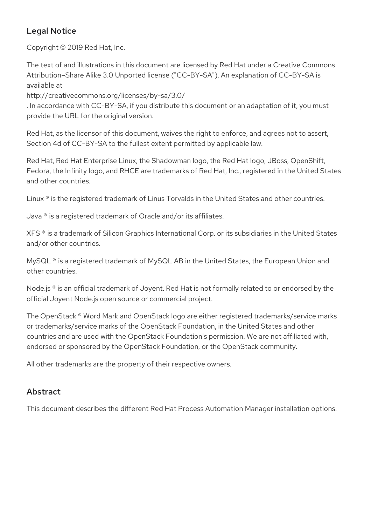#### Legal Notice

Copyright © 2019 Red Hat, Inc.

The text of and illustrations in this document are licensed by Red Hat under a Creative Commons Attribution–Share Alike 3.0 Unported license ("CC-BY-SA"). An explanation of CC-BY-SA is available at

http://creativecommons.org/licenses/by-sa/3.0/

. In accordance with CC-BY-SA, if you distribute this document or an adaptation of it, you must provide the URL for the original version.

Red Hat, as the licensor of this document, waives the right to enforce, and agrees not to assert, Section 4d of CC-BY-SA to the fullest extent permitted by applicable law.

Red Hat, Red Hat Enterprise Linux, the Shadowman logo, the Red Hat logo, JBoss, OpenShift, Fedora, the Infinity logo, and RHCE are trademarks of Red Hat, Inc., registered in the United States and other countries.

Linux ® is the registered trademark of Linus Torvalds in the United States and other countries.

Java ® is a registered trademark of Oracle and/or its affiliates.

XFS ® is a trademark of Silicon Graphics International Corp. or its subsidiaries in the United States and/or other countries.

MySQL<sup>®</sup> is a registered trademark of MySQL AB in the United States, the European Union and other countries.

Node.js ® is an official trademark of Joyent. Red Hat is not formally related to or endorsed by the official Joyent Node.js open source or commercial project.

The OpenStack ® Word Mark and OpenStack logo are either registered trademarks/service marks or trademarks/service marks of the OpenStack Foundation, in the United States and other countries and are used with the OpenStack Foundation's permission. We are not affiliated with, endorsed or sponsored by the OpenStack Foundation, or the OpenStack community.

All other trademarks are the property of their respective owners.

#### Abstract

This document describes the different Red Hat Process Automation Manager installation options.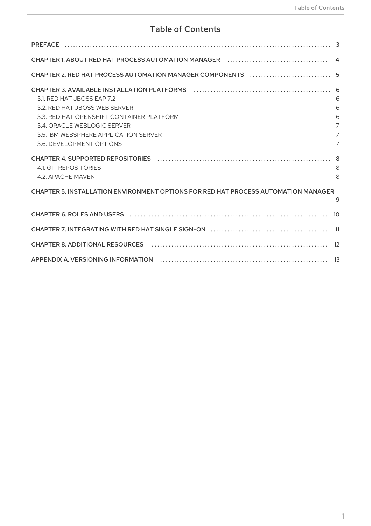## **Table of Contents**

| CHAPTER 3. AVAILABLE INSTALLATION PLATFORMS (and continuum continuum control of the STAPTER 3. AVAILABLE INSTALLATION PLATFORMS (control of the STAPTER 3. |                |
|------------------------------------------------------------------------------------------------------------------------------------------------------------|----------------|
| 3.1. RED HAT JBOSS EAP 7.2                                                                                                                                 | 6              |
| 3.2. RED HAT JBOSS WEB SERVER                                                                                                                              | 6              |
| 3.3. RED HAT OPENSHIET CONTAINER PLATEORM                                                                                                                  | 6              |
| 3.4 ORACLE WEBLOGIC SERVER                                                                                                                                 | $\overline{7}$ |
| 3.5. IBM WEBSPHERE APPLICATION SERVER                                                                                                                      | $\overline{7}$ |
| 3.6. DEVELOPMENT OPTIONS                                                                                                                                   | $\overline{7}$ |
|                                                                                                                                                            |                |
| 4.1. GIT REPOSITORIES                                                                                                                                      | 8              |
| 4.2. APACHE MAVEN                                                                                                                                          | 8              |
| CHAPTER 5. INSTALLATION ENVIRONMENT OPTIONS FOR RED HAT PROCESS AUTOMATION MANAGER                                                                         |                |
|                                                                                                                                                            | 9              |
|                                                                                                                                                            |                |
|                                                                                                                                                            |                |
|                                                                                                                                                            |                |
|                                                                                                                                                            |                |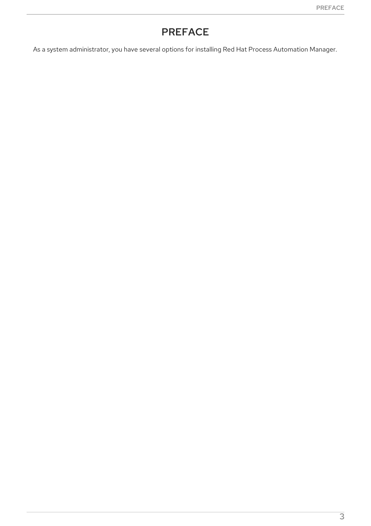# PREFACE

<span id="page-6-0"></span>As a system administrator, you have several options for installing Red Hat Process Automation Manager.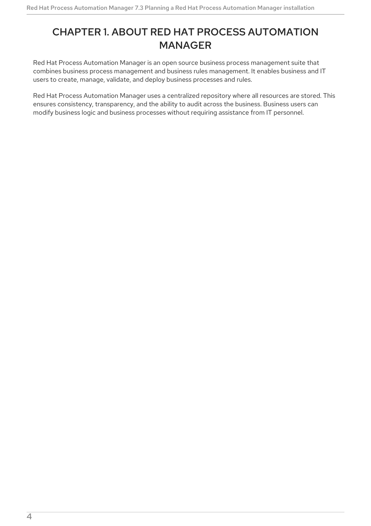## <span id="page-7-0"></span>CHAPTER 1. ABOUT RED HAT PROCESS AUTOMATION MANAGER

Red Hat Process Automation Manager is an open source business process management suite that combines business process management and business rules management. It enables business and IT users to create, manage, validate, and deploy business processes and rules.

Red Hat Process Automation Manager uses a centralized repository where all resources are stored. This ensures consistency, transparency, and the ability to audit across the business. Business users can modify business logic and business processes without requiring assistance from IT personnel.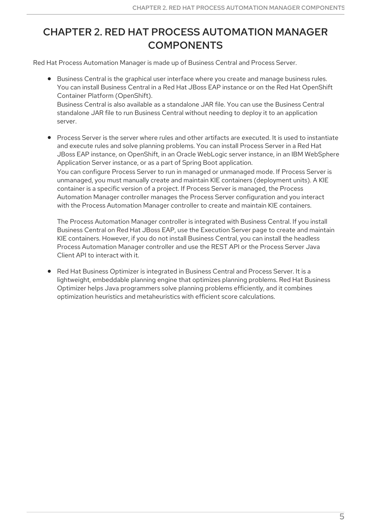# <span id="page-8-0"></span>CHAPTER 2. RED HAT PROCESS AUTOMATION MANAGER **COMPONENTS**

Red Hat Process Automation Manager is made up of Business Central and Process Server.

- Business Central is the graphical user interface where you create and manage business rules. You can install Business Central in a Red Hat JBoss EAP instance or on the Red Hat OpenShift Container Platform (OpenShift). Business Central is also available as a standalone JAR file. You can use the Business Central standalone JAR file to run Business Central without needing to deploy it to an application server.
- Process Server is the server where rules and other artifacts are executed. It is used to instantiate and execute rules and solve planning problems. You can install Process Server in a Red Hat JBoss EAP instance, on OpenShift, in an Oracle WebLogic server instance, in an IBM WebSphere Application Server instance, or as a part of Spring Boot application. You can configure Process Server to run in managed or unmanaged mode. If Process Server is unmanaged, you must manually create and maintain KIE containers (deployment units). A KIE container is a specific version of a project. If Process Server is managed, the Process Automation Manager controller manages the Process Server configuration and you interact with the Process Automation Manager controller to create and maintain KIE containers.

The Process Automation Manager controller is integrated with Business Central. If you install Business Central on Red Hat JBoss EAP, use the Execution Server page to create and maintain KIE containers. However, if you do not install Business Central, you can install the headless Process Automation Manager controller and use the REST API or the Process Server Java Client API to interact with it.

Red Hat Business Optimizer is integrated in Business Central and Process Server. It is a lightweight, embeddable planning engine that optimizes planning problems. Red Hat Business Optimizer helps Java programmers solve planning problems efficiently, and it combines optimization heuristics and metaheuristics with efficient score calculations.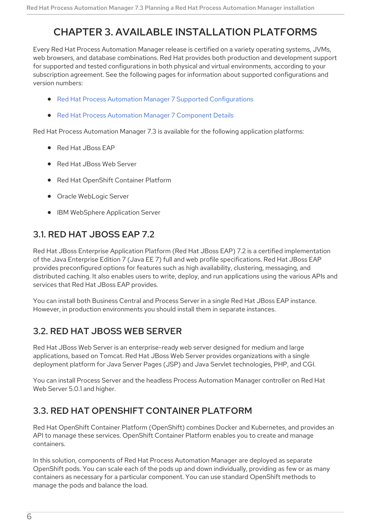# <span id="page-9-0"></span>CHAPTER 3. AVAILABLE INSTALLATION PLATFORMS

Every Red Hat Process Automation Manager release is certified on a variety operating systems, JVMs, web browsers, and database combinations. Red Hat provides both production and development support for supported and tested configurations in both physical and virtual environments, according to your subscription agreement. See the following pages for information about supported configurations and version numbers:

- Red Hat Process Automation Manager 7 Supported [Configurations](https://access.redhat.com/articles/3405381)
- Red Hat Process Automation Manager 7 [Component](https://access.redhat.com/articles/3463751) Details

Red Hat Process Automation Manager 7.3 is available for the following application platforms:

- Red Hat JBoss FAP
- Red Hat JBoss Web Server
- Red Hat OpenShift Container Platform
- Oracle WebLogic Server
- **IBM WebSphere Application Server**

### <span id="page-9-1"></span>3.1. RED HAT JBOSS EAP 7.2

Red Hat JBoss Enterprise Application Platform (Red Hat JBoss EAP) 7.2 is a certified implementation of the Java Enterprise Edition 7 (Java EE 7) full and web profile specifications. Red Hat JBoss EAP provides preconfigured options for features such as high availability, clustering, messaging, and distributed caching. It also enables users to write, deploy, and run applications using the various APIs and services that Red Hat JBoss EAP provides.

You can install both Business Central and Process Server in a single Red Hat JBoss EAP instance. However, in production environments you should install them in separate instances.

## <span id="page-9-2"></span>3.2. RED HAT JBOSS WEB SERVER

Red Hat JBoss Web Server is an enterprise-ready web server designed for medium and large applications, based on Tomcat. Red Hat JBoss Web Server provides organizations with a single deployment platform for Java Server Pages (JSP) and Java Servlet technologies, PHP, and CGI.

You can install Process Server and the headless Process Automation Manager controller on Red Hat Web Server 5.0.1 and higher.

#### <span id="page-9-3"></span>3.3. RED HAT OPENSHIFT CONTAINER PLATFORM

Red Hat OpenShift Container Platform (OpenShift) combines Docker and Kubernetes, and provides an API to manage these services. OpenShift Container Platform enables you to create and manage containers.

In this solution, components of Red Hat Process Automation Manager are deployed as separate OpenShift pods. You can scale each of the pods up and down individually, providing as few or as many containers as necessary for a particular component. You can use standard OpenShift methods to manage the pods and balance the load.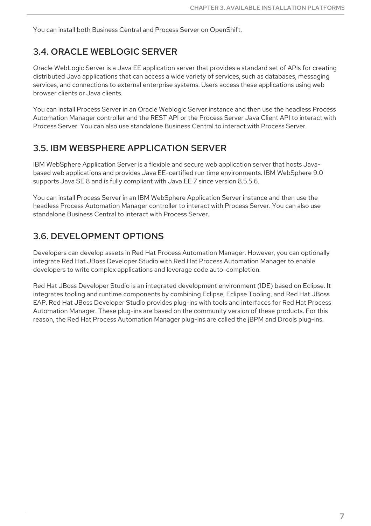You can install both Business Central and Process Server on OpenShift.

#### <span id="page-10-0"></span>3.4. ORACLE WEBLOGIC SERVER

Oracle WebLogic Server is a Java EE application server that provides a standard set of APIs for creating distributed Java applications that can access a wide variety of services, such as databases, messaging services, and connections to external enterprise systems. Users access these applications using web browser clients or Java clients.

You can install Process Server in an Oracle Weblogic Server instance and then use the headless Process Automation Manager controller and the REST API or the Process Server Java Client API to interact with Process Server. You can also use standalone Business Central to interact with Process Server.

#### <span id="page-10-1"></span>3.5. IBM WEBSPHERE APPLICATION SERVER

IBM WebSphere Application Server is a flexible and secure web application server that hosts Javabased web applications and provides Java EE-certified run time environments. IBM WebSphere 9.0 supports Java SE 8 and is fully compliant with Java EE 7 since version 8.5.5.6.

You can install Process Server in an IBM WebSphere Application Server instance and then use the headless Process Automation Manager controller to interact with Process Server. You can also use standalone Business Central to interact with Process Server.

#### <span id="page-10-2"></span>3.6. DEVELOPMENT OPTIONS

Developers can develop assets in Red Hat Process Automation Manager. However, you can optionally integrate Red Hat JBoss Developer Studio with Red Hat Process Automation Manager to enable developers to write complex applications and leverage code auto-completion.

Red Hat JBoss Developer Studio is an integrated development environment (IDE) based on Eclipse. It integrates tooling and runtime components by combining Eclipse, Eclipse Tooling, and Red Hat JBoss EAP. Red Hat JBoss Developer Studio provides plug-ins with tools and interfaces for Red Hat Process Automation Manager. These plug-ins are based on the community version of these products. For this reason, the Red Hat Process Automation Manager plug-ins are called the jBPM and Drools plug-ins.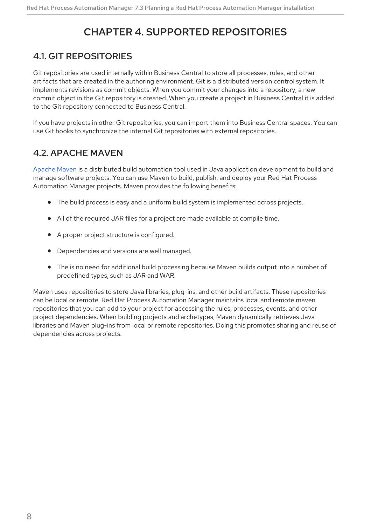# CHAPTER 4. SUPPORTED REPOSITORIES

#### <span id="page-11-1"></span><span id="page-11-0"></span>4.1. GIT REPOSITORIES

Git repositories are used internally within Business Central to store all processes, rules, and other artifacts that are created in the authoring environment. Git is a distributed version control system. It implements revisions as commit objects. When you commit your changes into a repository, a new commit object in the Git repository is created. When you create a project in Business Central it is added to the Git repository connected to Business Central.

If you have projects in other Git repositories, you can import them into Business Central spaces. You can use Git hooks to synchronize the internal Git repositories with external repositories.

#### <span id="page-11-2"></span>4.2. APACHE MAVEN

[Apache](http://maven.apache.org/) Maven is a distributed build automation tool used in Java application development to build and manage software projects. You can use Maven to build, publish, and deploy your Red Hat Process Automation Manager projects. Maven provides the following benefits:

- The build process is easy and a uniform build system is implemented across projects.
- All of the required JAR files for a project are made available at compile time.
- A proper project structure is configured.
- Dependencies and versions are well managed.
- The is no need for additional build processing because Maven builds output into a number of predefined types, such as JAR and WAR.

Maven uses repositories to store Java libraries, plug-ins, and other build artifacts. These repositories can be local or remote. Red Hat Process Automation Manager maintains local and remote maven repositories that you can add to your project for accessing the rules, processes, events, and other project dependencies. When building projects and archetypes, Maven dynamically retrieves Java libraries and Maven plug-ins from local or remote repositories. Doing this promotes sharing and reuse of dependencies across projects.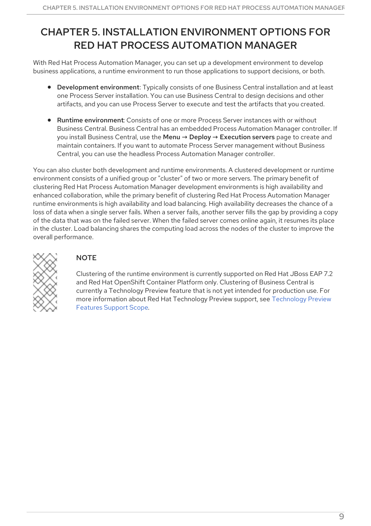# <span id="page-12-0"></span>CHAPTER 5. INSTALLATION ENVIRONMENT OPTIONS FOR RED HAT PROCESS AUTOMATION MANAGER

With Red Hat Process Automation Manager, you can set up a development environment to develop business applications, a runtime environment to run those applications to support decisions, or both.

- Development environment: Typically consists of one Business Central installation and at least one Process Server installation. You can use Business Central to design decisions and other artifacts, and you can use Process Server to execute and test the artifacts that you created.
- Runtime environment: Consists of one or more Process Server instances with or without Business Central. Business Central has an embedded Process Automation Manager controller. If you install Business Central, use the Menu → Deploy → Execution servers page to create and maintain containers. If you want to automate Process Server management without Business Central, you can use the headless Process Automation Manager controller.

You can also cluster both development and runtime environments. A clustered development or runtime environment consists of a unified group or "cluster" of two or more servers. The primary benefit of clustering Red Hat Process Automation Manager development environments is high availability and enhanced collaboration, while the primary benefit of clustering Red Hat Process Automation Manager runtime environments is high availability and load balancing. High availability decreases the chance of a loss of data when a single server fails. When a server fails, another server fills the gap by providing a copy of the data that was on the failed server. When the failed server comes online again, it resumes its place in the cluster. Load balancing shares the computing load across the nodes of the cluster to improve the overall performance.



#### **NOTE**

Clustering of the runtime environment is currently supported on Red Hat JBoss EAP 7.2 and Red Hat OpenShift Container Platform only. Clustering of Business Central is currently a Technology Preview feature that is not yet intended for production use. For more information about Red Hat [Technology](https://access.redhat.com/support/offerings/techpreview/) Preview support, see Technology Preview Features Support Scope.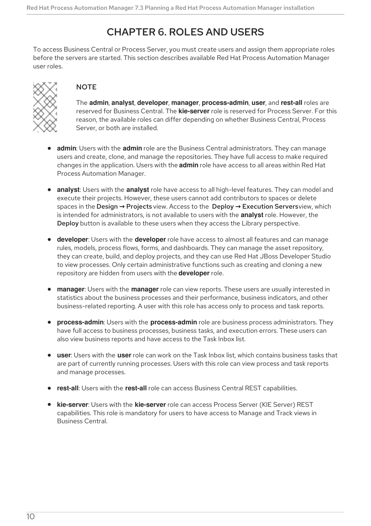## CHAPTER 6. ROLES AND USERS

<span id="page-13-0"></span>To access Business Central or Process Server, you must create users and assign them appropriate roles before the servers are started. This section describes available Red Hat Process Automation Manager user roles.



#### **NOTE**

The **admin**, **analyst**, **developer**, **manager**, **process-admin**, **user**, and **rest-all** roles are reserved for Business Central. The **kie-server** role is reserved for Process Server. For this reason, the available roles can differ depending on whether Business Central, Process Server, or both are installed.

- **admin**: Users with the **admin** role are the Business Central administrators. They can manage users and create, clone, and manage the repositories. They have full access to make required changes in the application. Users with the **admin** role have access to all areas within Red Hat Process Automation Manager.
- **analyst**: Users with the **analyst** role have access to all high-level features. They can model and execute their projects. However, these users cannot add contributors to spaces or delete spaces in the Design **→** Projects view. Access to the Deploy **→** Execution Serversview, which is intended for administrators, is not available to users with the **analyst** role. However, the Deploy button is available to these users when they access the Library perspective.
- **developer**: Users with the **developer** role have access to almost all features and can manage rules, models, process flows, forms, and dashboards. They can manage the asset repository, they can create, build, and deploy projects, and they can use Red Hat JBoss Developer Studio to view processes. Only certain administrative functions such as creating and cloning a new repository are hidden from users with the **developer** role.
- **manager**: Users with the **manager** role can view reports. These users are usually interested in statistics about the business processes and their performance, business indicators, and other business-related reporting. A user with this role has access only to process and task reports.
- **process-admin**: Users with the **process-admin** role are business process administrators. They have full access to business processes, business tasks, and execution errors. These users can also view business reports and have access to the Task Inbox list.
- **user**: Users with the **user** role can work on the Task Inbox list, which contains business tasks that are part of currently running processes. Users with this role can view process and task reports and manage processes.
- **rest-all**: Users with the **rest-all** role can access Business Central REST capabilities.
- **kie-server**: Users with the **kie-server** role can access Process Server (KIE Server) REST capabilities. This role is mandatory for users to have access to Manage and Track views in Business Central.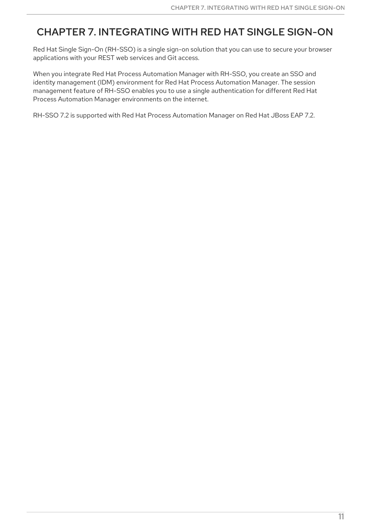## <span id="page-14-0"></span>CHAPTER 7. INTEGRATING WITH RED HAT SINGLE SIGN-ON

Red Hat Single Sign-On (RH-SSO) is a single sign-on solution that you can use to secure your browser applications with your REST web services and Git access.

When you integrate Red Hat Process Automation Manager with RH-SSO, you create an SSO and identity management (IDM) environment for Red Hat Process Automation Manager. The session management feature of RH-SSO enables you to use a single authentication for different Red Hat Process Automation Manager environments on the internet.

RH-SSO 7.2 is supported with Red Hat Process Automation Manager on Red Hat JBoss EAP 7.2.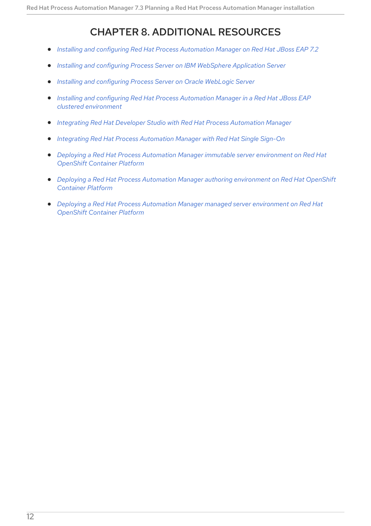# CHAPTER 8. ADDITIONAL RESOURCES

- <span id="page-15-0"></span>*Installing and configuring Red Hat Process [Automation](https://access.redhat.com/documentation/en-us/red_hat_process_automation_manager/7.3/html-single/installing_and_configuring_red_hat_process_automation_manager_on_red_hat_jboss_eap_7.2) Manager on Red Hat JBoss EAP 7.2*  $\bullet$
- *Installing and configuring Process Server on IBM [WebSphere](https://access.redhat.com/documentation/en-us/red_hat_process_automation_manager/7.3/html-single/installing_and_configuring_process_server_on_ibm_websphere_application_server) Application Server*  $\bullet$
- *Installing and [configuring](https://access.redhat.com/documentation/en-us/red_hat_process_automation_manager/7.3/html-single/installing_and_configuring_process_server_on_oracle_weblogic_server) Process Server on Oracle WebLogic Server*
- *Installing and configuring Red Hat Process Automation Manager in a Red Hat JBoss EAP clustered [environment](https://access.redhat.com/documentation/en-us/red_hat_process_automation_manager/7.3/html-single/installing_and_configuring_red_hat_process_automation_manager_in_a_red_hat_jboss_eap_clustered_environment)*
- *Integrating Red Hat Developer Studio with Red Hat Process [Automation](https://access.redhat.com/documentation/en-us/red_hat_process_automation_manager/7.3/html-single/integrating_red_hat_developer_studio_with_red_hat_process_automation_manager) Manager*
- *Integrating Red Hat Process [Automation](https://access.redhat.com/documentation/en-us/red_hat_process_automation_manager/7.3/html-single/integrating_red_hat_process_automation_manager_with_red_hat_single_sign-on) Manager with Red Hat Single Sign-On*
- *Deploying a Red Hat Process Automation Manager immutable server [environment](https://access.redhat.com/documentation/en-us/red_hat_process_automation_manager/7.3/html-single/deploying_a_red_hat_process_automation_manager_immutable_server_environment_on_red_hat_openshift_container_platform) on Red Hat OpenShift Container Platform*
- *Deploying a Red Hat Process Automation Manager authoring [environment](https://access.redhat.com/documentation/en-us/red_hat_process_automation_manager/7.3/html-single/deploying_a_red_hat_process_automation_manager_authoring_environment_on_red_hat_openshift_container_platform) on Red Hat OpenShift Container Platform*
- *Deploying a Red Hat Process Automation Manager managed server [environment](https://access.redhat.com/documentation/en-us/red_hat_process_automation_manager/7.3/html-single/deploying_a_red_hat_process_automation_manager_managed_server_environment_on_red_hat_openshift_container_platform) on Red Hat OpenShift Container Platform*